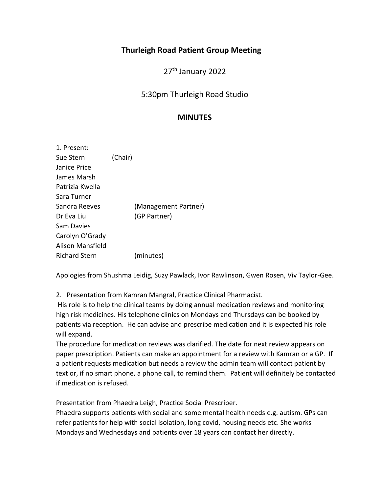# **Thurleigh Road Patient Group Meeting**

27<sup>th</sup> January 2022

# 5:30pm Thurleigh Road Studio

## **MINUTES**

| 1. Present:          |         |                      |
|----------------------|---------|----------------------|
| Sue Stern            | (Chair) |                      |
| Janice Price         |         |                      |
| James Marsh          |         |                      |
| Patrizia Kwella      |         |                      |
| Sara Turner          |         |                      |
| Sandra Reeves        |         | (Management Partner) |
| Dr Eva Liu           |         | (GP Partner)         |
| Sam Davies           |         |                      |
| Carolyn O'Grady      |         |                      |
| Alison Mansfield     |         |                      |
| <b>Richard Stern</b> |         | (minutes)            |

Apologies from Shushma Leidig, Suzy Pawlack, Ivor Rawlinson, Gwen Rosen, Viv Taylor-Gee.

2. Presentation from Kamran Mangral, Practice Clinical Pharmacist.

His role is to help the clinical teams by doing annual medication reviews and monitoring high risk medicines. His telephone clinics on Mondays and Thursdays can be booked by patients via reception. He can advise and prescribe medication and it is expected his role will expand.

The procedure for medication reviews was clarified. The date for next review appears on paper prescription. Patients can make an appointment for a review with Kamran or a GP. If a patient requests medication but needs a review the admin team will contact patient by text or, if no smart phone, a phone call, to remind them. Patient will definitely be contacted if medication is refused.

Presentation from Phaedra Leigh, Practice Social Prescriber.

Phaedra supports patients with social and some mental health needs e.g. autism. GPs can refer patients for help with social isolation, long covid, housing needs etc. She works Mondays and Wednesdays and patients over 18 years can contact her directly.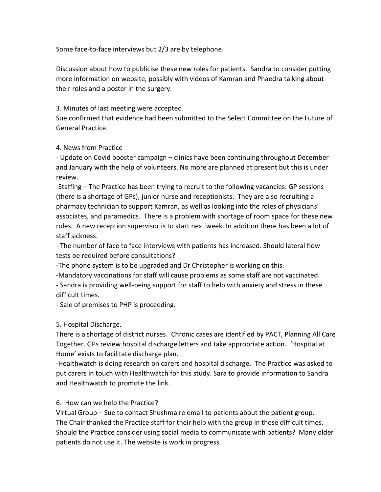Some face-to-face interviews but 2/3 are by telephone.

Discussion about how to publicise these new roles for patients. Sandra to consider putting more information on website, possibly with videos of Kamran and Phaedra talking about their roles and a poster in the surgery.

## 3. Minutes of last meeting were accepted.

Sue confirmed that evidence had been submitted to the Select Committee on the Future of General Practice.

#### 4. News from Practice

- Update on Covid booster campaign – clinics have been continuing throughout December and January with the help of volunteers. No more are planned at present but this is under review.

-Staffing – The Practice has been trying to recruit to the following vacancies: GP sessions (there is a shortage of GPs), junior nurse and receptionists. They are also recruiting a pharmacy technician to support Kamran, as well as looking into the roles of physicians' associates, and paramedics. There is a problem with shortage of room space for these new roles. A new reception supervisor is to start next week. In addition there has been a lot of staff sickness.

- The number of face to face interviews with patients has increased. Should lateral flow tests be required before consultations?

-The phone system is to be upgraded and Dr Christopher is working on this.

-Mandatory vaccinations for staff will cause problems as some staff are not vaccinated. - Sandra is providing well-being support for staff to help with anxiety and stress in these difficult times.

- Sale of premises to PHP is proceeding.

## 5. Hospital Discharge.

There is a shortage of district nurses. Chronic cases are identified by PACT, Planning All Care Together. GPs review hospital discharge letters and take appropriate action. 'Hospital at Home' exists to facilitate discharge plan.

-Healthwatch is doing research on carers and hospital discharge. The Practice was asked to put carers in touch with Healthwatch for this study. Sara to provide information to Sandra and Healthwatch to promote the link.

## 6. How can we help the Practice?

Virtual Group – Sue to contact Shushma re email to patients about the patient group. The Chair thanked the Practice staff for their help with the group in these difficult times. Should the Practice consider using social media to communicate with patients? Many older patients do not use it. The website is work in progress.